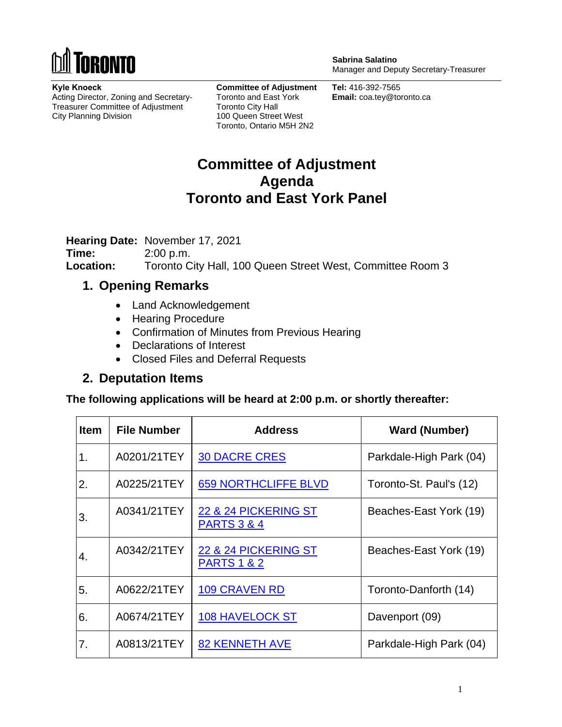

**Kyle Knoeck** Acting Director, Zoning and Secretary-Treasurer Committee of Adjustment City Planning Division

**Committee of Adjustment** Toronto and East York Toronto City Hall 100 Queen Street West Toronto, Ontario M5H 2N2

**Sabrina Salatino** Manager and Deputy Secretary-Treasurer

**Tel:** 416-392-7565 **Email:** coa.tey@toronto.ca

## **Committee of Adjustment Agenda Toronto and East York Panel**

**Hearing Date:** November 17, 2021

**Time:** 2:00 p.m. **Location:** Toronto City Hall, 100 Queen Street West, Committee Room 3

## **1. Opening Remarks**

- Land Acknowledgement
- Hearing Procedure
- Confirmation of Minutes from Previous Hearing
- Declarations of Interest
- Closed Files and Deferral Requests

## **2. Deputation Items**

**The following applications will be heard at 2:00 p.m. or shortly thereafter:** 

| <b>Item</b> | <b>File Number</b> | <b>Address</b>                                 | <b>Ward (Number)</b>    |
|-------------|--------------------|------------------------------------------------|-------------------------|
| 1.          | A0201/21TEY        | <b>30 DACRE CRES</b>                           | Parkdale-High Park (04) |
| 2.          | A0225/21TEY        | <b>659 NORTHCLIFFE BLVD</b>                    | Toronto-St. Paul's (12) |
| 3.          | A0341/21TEY        | 22 & 24 PICKERING ST<br><b>PARTS 3 &amp; 4</b> | Beaches-East York (19)  |
| 4.          | A0342/21TEY        | 22 & 24 PICKERING ST<br><b>PARTS 1 &amp; 2</b> | Beaches-East York (19)  |
| 5.          | A0622/21TEY        | <b>109 CRAVEN RD</b>                           | Toronto-Danforth (14)   |
| 6.          | A0674/21TEY        | 108 HAVELOCK ST                                | Davenport (09)          |
| 7.          | A0813/21TEY        | <b>82 KENNETH AVE</b>                          | Parkdale-High Park (04) |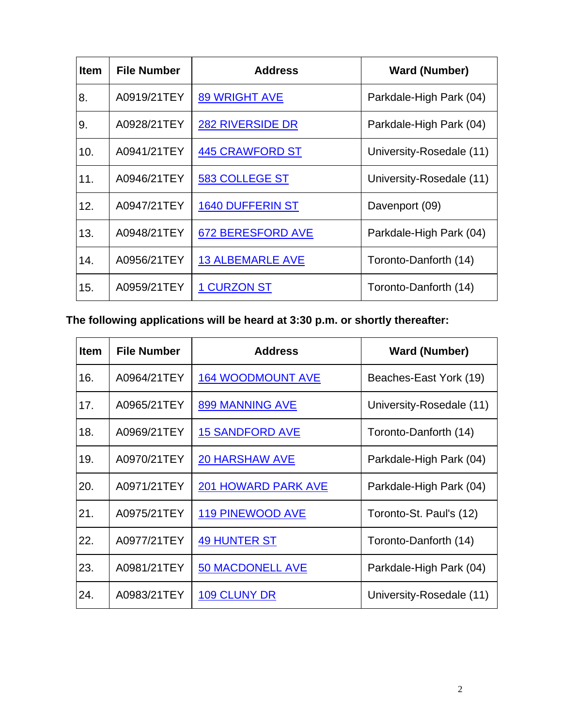| <b>Item</b> | <b>File Number</b> | <b>Address</b>           | <b>Ward (Number)</b>     |
|-------------|--------------------|--------------------------|--------------------------|
| 8.          | A0919/21TEY        | <b>89 WRIGHT AVE</b>     | Parkdale-High Park (04)  |
| 9.          | A0928/21TEY        | <b>282 RIVERSIDE DR</b>  | Parkdale-High Park (04)  |
| 10.         | A0941/21TEY        | <b>445 CRAWFORD ST</b>   | University-Rosedale (11) |
| 11.         | A0946/21TEY        | <b>583 COLLEGE ST</b>    | University-Rosedale (11) |
| 12.         | A0947/21TEY        | <b>1640 DUFFERIN ST</b>  | Davenport (09)           |
| 13.         | A0948/21TEY        | <b>672 BERESFORD AVE</b> | Parkdale-High Park (04)  |
| 14.         | A0956/21TEY        | <b>13 ALBEMARLE AVE</b>  | Toronto-Danforth (14)    |
| 15.         | A0959/21TEY        | <b>1 CURZON ST</b>       | Toronto-Danforth (14)    |

**The following applications will be heard at 3:30 p.m. or shortly thereafter:**

| <b>Item</b> | <b>File Number</b> | <b>Address</b>             | <b>Ward (Number)</b>     |
|-------------|--------------------|----------------------------|--------------------------|
| 16.         | A0964/21TEY        | <b>164 WOODMOUNT AVE</b>   | Beaches-East York (19)   |
| 17.         | A0965/21TEY        | 899 MANNING AVE            | University-Rosedale (11) |
| 18.         | A0969/21TEY        | <b>15 SANDFORD AVE</b>     | Toronto-Danforth (14)    |
| 19.         | A0970/21TEY        | <b>20 HARSHAW AVE</b>      | Parkdale-High Park (04)  |
| 20.         | A0971/21TEY        | <b>201 HOWARD PARK AVE</b> | Parkdale-High Park (04)  |
| 21.         | A0975/21TEY        | <b>119 PINEWOOD AVE</b>    | Toronto-St. Paul's (12)  |
| 22.         | A0977/21TEY        | <b>49 HUNTER ST</b>        | Toronto-Danforth (14)    |
| 23.         | A0981/21TEY        | <b>50 MACDONELL AVE</b>    | Parkdale-High Park (04)  |
| 24.         | A0983/21TEY        | 109 CLUNY DR               | University-Rosedale (11) |